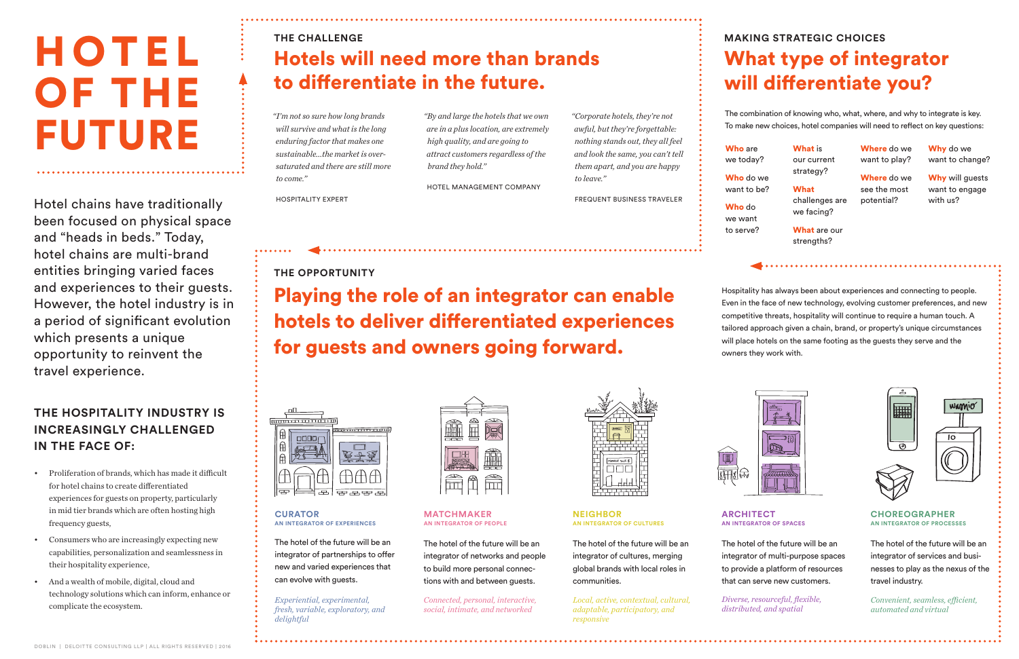### **THE HOSPITALITY INDUSTRY IS INCREASINGLY CHALLENGED IN THE FACE OF:**

- Proliferation of brands, which has made it difficult for hotel chains to create differentiated experiences for guests on property, particularly in mid tier brands which are often hosting high frequency guests,
- Consumers who are increasingly expecting new capabilities, personalization and seamlessness in their hospitality experience,
- And a wealth of mobile, digital, cloud and technology solutions which can inform, enhance or complicate the ecosystem.

# H O T E L OF THE FUTURE

Hotel chains have traditionally been focused on physical space and "heads in beds." Today, hotel chains are multi-brand entities bringing varied faces and experiences to their guests. However, the hotel industry is in a period of significant evolution which presents a unique opportunity to reinvent the travel experience.

### **THE CHALLENGE**

# Hotels will need more than brands to differentiate in the future.

# **MAKING STRATEGIC CHOICES** What type of integrator will differentiate you?

*"I'm not so sure how long brands will survive and what is the long enduring factor that makes one sustainable...the market is oversaturated and there are still more to come."*

Who do we want to be?

What challenges are we facing? What are our

HOSPITALITY EXPERT

Where do we want to play?

Why do we want to change?

Why will guests want to engage with us?



*"Corporate hotels, they're not awful, but they're forgettable: nothing stands out, they all feel and look the same, you can't tell them apart, and you are happy to leave."*

FREQUENT BUSINESS TRAVELER

*"By and large the hotels that we own are in a plus location, are extremely high quality, and are going to attract customers regardless of the brand they hold."*

HOTEL MANAGEMENT COMPANY

**THE OPPORTUNITY**

Playing the role of an integrator can enable hotels to deliver differentiated experiences for guests and owners going forward.



Hospitality has always been about experiences and connecting to people. Even in the face of new technology, evolving customer preferences, and new competitive threats, hospitality will continue to require a human touch. A tailored approach given a chain, brand, or property's unique circumstances will place hotels on the same footing as the guests they serve and the owners they work with.



The combination of knowing who, what, where, and why to integrate is key. To make new choices, hotel companies will need to reflect on key questions:

Who are we today?

Who do

we want to serve? What is our current strategy?

strengths?

Where do we see the most potential?

#### **CURATOR AN INTEGRATOR OF EXPERIENCES**

 $| \, \mathbf{B}$ 

The hotel of the future will be an integrator of partnerships to offer new and varied experiences that can evolve with guests.

*Experiential, experimental, fresh, variable, exploratory, and delightful*



#### **CHOREOGRAPHER AN INTEGRATOR OF PROCESSES**

The hotel of the future will be an integrator of services and businesses to play as the nexus of the travel industry.

*Convenient, seamless, efficient, automated and virtual*

## **ARCHITECT**

### **AN INTEGRATOR OF SPACES**

The hotel of the future will be an integrator of multi-purpose spaces to provide a platform of resources that can serve new customers.

*Diverse, resourceful, flexible, distributed, and spatial*







#### **MATCHMAKER AN INTEGRATOR OF PEOPLE**

The hotel of the future will be an integrator of networks and people to build more personal connections with and between guests.

*Connected, personal, interactive, social, intimate, and networked*



**NEIGHBOR AN INTEGRATOR OF CULTURES**

The hotel of the future will be an integrator of cultures, merging global brands with local roles in communities.

*Local, active, contextual, cultural, adaptable, participatory, and responsive*